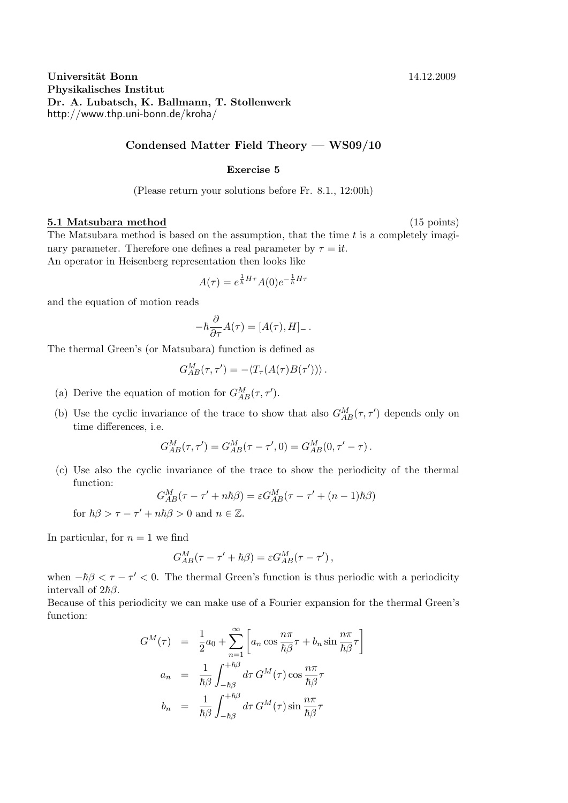**Universität Bonn** 14.12.2009 **Physikalisches Institut Dr. A. Lubatsch, K. Ballmann, T. Stollenwerk** http://www.thp.uni-bonn.de/kroha/

## **Condensed Matter Field Theory — WS09/10**

## **Exercise 5**

(Please return your solutions before Fr. 8.1., 12:00h)

## **5.1 Matsubara method** (15 points)

The Matsubara method is based on the assumption, that the time *t* is a completely imaginary parameter. Therefore one defines a real parameter by  $\tau = i t$ . An operator in Heisenberg representation then looks like

$$
A(\tau) = e^{\frac{1}{\hbar}H\tau}A(0)e^{-\frac{1}{\hbar}H\tau}
$$

and the equation of motion reads

$$
-\hbar \frac{\partial}{\partial \tau} A(\tau) = [A(\tau), H]_-.
$$

The thermal Green's (or Matsubara) function is defined as

$$
G_{AB}^M(\tau,\tau')=-\langle T_\tau(A(\tau)B(\tau'))\rangle.
$$

- (a) Derive the equation of motion for  $G_{AB}^M(\tau, \tau')$ .
- (b) Use the cyclic invariance of the trace to show that also  $G_{AB}^M(\tau, \tau')$  depends only on time differences, i.e.

$$
G_{AB}^M(\tau, \tau') = G_{AB}^M(\tau - \tau', 0) = G_{AB}^M(0, \tau' - \tau).
$$

(c) Use also the cyclic invariance of the trace to show the periodicity of the thermal function:

$$
G_{AB}^{M}(\tau - \tau' + n\hbar\beta) = \varepsilon G_{AB}^{M}(\tau - \tau' + (n-1)\hbar\beta)
$$

for  $\hbar\beta > \tau - \tau' + n\hbar\beta > 0$  and  $n \in \mathbb{Z}$ .

In particular, for  $n = 1$  we find

$$
G_{AB}^M(\tau-\tau'+\hbar\beta)=\varepsilon G_{AB}^M(\tau-\tau')\,,
$$

when  $-\hbar\beta < \tau - \tau' < 0$ . The thermal Green's function is thus periodic with a periodicity intervall of  $2\hbar\beta$ .

Because of this periodicity we can make use of a Fourier expansion for the thermal Green's function:

$$
G^{M}(\tau) = \frac{1}{2}a_{0} + \sum_{n=1}^{\infty} \left[ a_{n} \cos \frac{n\pi}{\hbar \beta} \tau + b_{n} \sin \frac{n\pi}{\hbar \beta} \tau \right]
$$

$$
a_{n} = \frac{1}{\hbar \beta} \int_{-\hbar \beta}^{+\hbar \beta} d\tau \, G^{M}(\tau) \cos \frac{n\pi}{\hbar \beta} \tau
$$

$$
b_{n} = \frac{1}{\hbar \beta} \int_{-\hbar \beta}^{+\hbar \beta} d\tau \, G^{M}(\tau) \sin \frac{n\pi}{\hbar \beta} \tau
$$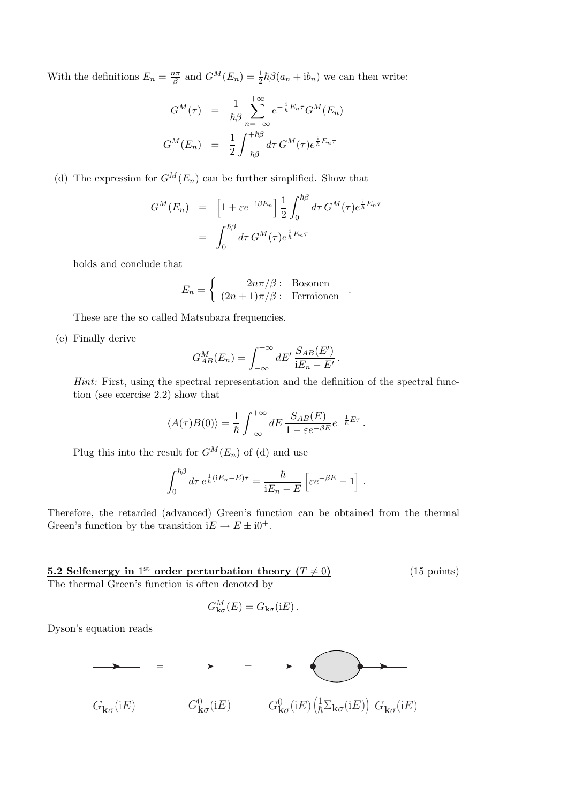With the definitions  $E_n = \frac{n\pi}{\beta}$  $\frac{p\pi}{\beta}$  and  $G^M(E_n) = \frac{1}{2}\hbar\beta(a_n + ib_n)$  we can then write:

$$
G^{M}(\tau) = \frac{1}{\hbar \beta} \sum_{n=-\infty}^{+\infty} e^{-\frac{i}{\hbar}E_{n}\tau} G^{M}(E_{n})
$$

$$
G^{M}(E_{n}) = \frac{1}{2} \int_{-\hbar \beta}^{+\hbar \beta} d\tau G^{M}(\tau) e^{\frac{i}{\hbar}E_{n}\tau}
$$

(d) The expression for  $G^M(E_n)$  can be further simplified. Show that

$$
G^{M}(E_{n}) = \left[1 + \varepsilon e^{-i\beta E_{n}}\right] \frac{1}{2} \int_{0}^{\hbar \beta} d\tau \, G^{M}(\tau) e^{\frac{i}{\hbar} E_{n}\tau}
$$

$$
= \int_{0}^{\hbar \beta} d\tau \, G^{M}(\tau) e^{\frac{i}{\hbar} E_{n}\tau}
$$

holds and conclude that

$$
E_n = \begin{cases} 2n\pi/\beta: \text{ Bosonen} \\ (2n+1)\pi/\beta: \text{Fermionen} \end{cases}.
$$

These are the so called Matsubara frequencies.

(e) Finally derive

$$
G_{AB}^M(E_n) = \int_{-\infty}^{+\infty} dE' \, \frac{S_{AB}(E')}{iE_n - E'}.
$$

*Hint:* First, using the spectral representation and the definition of the spectral function (see exercise 2.2) show that

$$
\langle A(\tau)B(0)\rangle = \frac{1}{\hbar} \int_{-\infty}^{+\infty} dE \, \frac{S_{AB}(E)}{1 - \varepsilon e^{-\beta E}} e^{-\frac{1}{\hbar}E\tau}.
$$

Plug this into the result for  $G^M(E_n)$  of (d) and use

$$
\int_0^{\hbar\beta} d\tau \, e^{\frac{1}{\hbar}({\rm i}E_n-E)\tau} = \frac{\hbar}{\rm i}E_n-E\left[\varepsilon e^{-\beta E}-1\right].
$$

Therefore, the retarded (advanced) Green's function can be obtained from the thermal Green's function by the transition  $iE \rightarrow E \pm i0^+$ .

**5.2 Selfenergy in** 1<sup>st</sup> order perturbation theory  $(T \neq 0)$  (15 points) The thermal Green's function is often denoted by

$$
G_{\mathbf{k}\sigma}^M(E) = G_{\mathbf{k}\sigma}(\mathrm{i}E).
$$

Dyson's equation reads